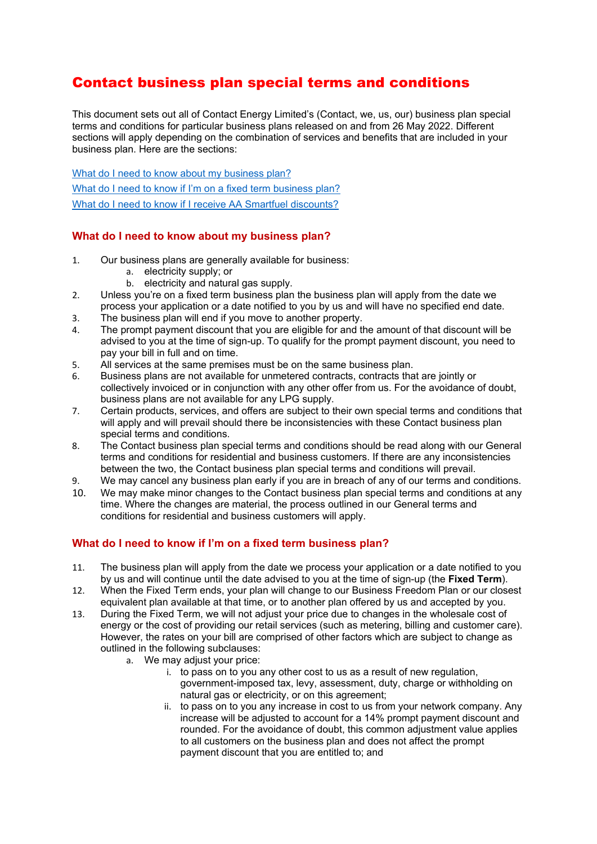## Contact business plan special terms and conditions

This document sets out all of Contact Energy Limited's (Contact, we, us, our) business plan special terms and conditions for particular business plans released on and from 26 May 2022. Different sections will apply depending on the combination of services and benefits that are included in your business plan. Here are the sections:

[What do I need to know about my business plan?](#page-0-0) [What do I need to know if I'm on a fixed term business plan?](#page-0-1) [What do I need to know if I receive AA Smartfuel discounts?](#page-1-0)

## <span id="page-0-0"></span>**What do I need to know about my business plan?**

- 1. Our business plans are generally available for business:
	- a. electricity supply; or
	- b. electricity and natural gas supply.
- 2. Unless you're on a fixed term business plan the business plan will apply from the date we process your application or a date notified to you by us and will have no specified end date.
- 3. The business plan will end if you move to another property.
- 4. The prompt payment discount that you are eligible for and the amount of that discount will be advised to you at the time of sign-up. To qualify for the prompt payment discount, you need to pay your bill in full and on time.
- 5. All services at the same premises must be on the same business plan.
- 6. Business plans are not available for unmetered contracts, contracts that are jointly or collectively invoiced or in conjunction with any other offer from us. For the avoidance of doubt, business plans are not available for any LPG supply.
- 7. Certain products, services, and offers are subject to their own special terms and conditions that will apply and will prevail should there be inconsistencies with these Contact business plan special terms and conditions.
- 8. The Contact business plan special terms and conditions should be read along with our General terms and conditions for residential and business customers. If there are any inconsistencies between the two, the Contact business plan special terms and conditions will prevail.
- 9. We may cancel any business plan early if you are in breach of any of our terms and conditions.
- 10. We may make minor changes to the Contact business plan special terms and conditions at any time. Where the changes are material, the process outlined in our General terms and conditions for residential and business customers will apply.

## <span id="page-0-1"></span>**What do I need to know if I'm on a fixed term business plan?**

- 11. The business plan will apply from the date we process your application or a date notified to you by us and will continue until the date advised to you at the time of sign-up (the **Fixed Term**).
- 12. When the Fixed Term ends, your plan will change to our Business Freedom Plan or our closest equivalent plan available at that time, or to another plan offered by us and accepted by you.
- 13. During the Fixed Term, we will not adjust your price due to changes in the wholesale cost of energy or the cost of providing our retail services (such as metering, billing and customer care). However, the rates on your bill are comprised of other factors which are subject to change as outlined in the following subclauses:
	- a. We may adjust your price:
		- i. to pass on to you any other cost to us as a result of new regulation, government-imposed tax, levy, assessment, duty, charge or withholding on natural gas or electricity, or on this agreement;
		- ii. to pass on to you any increase in cost to us from your network company. Any increase will be adjusted to account for a 14% prompt payment discount and rounded. For the avoidance of doubt, this common adjustment value applies to all customers on the business plan and does not affect the prompt payment discount that you are entitled to; and